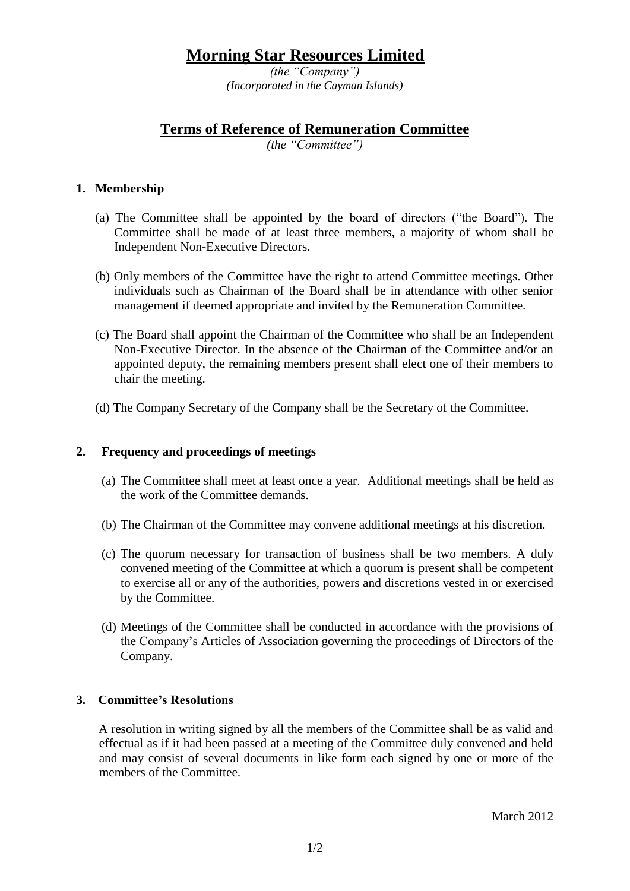# **Morning Star Resources Limited**

*(the "Company") (Incorporated in the Cayman Islands)*

## **Terms of Reference of Remuneration Committee**

*(the "Committee")*

#### **1. Membership**

- (a) The Committee shall be appointed by the board of directors ("the Board"). The Committee shall be made of at least three members, a majority of whom shall be Independent Non-Executive Directors.
- (b) Only members of the Committee have the right to attend Committee meetings. Other individuals such as Chairman of the Board shall be in attendance with other senior management if deemed appropriate and invited by the Remuneration Committee.
- (c) The Board shall appoint the Chairman of the Committee who shall be an Independent Non-Executive Director. In the absence of the Chairman of the Committee and/or an appointed deputy, the remaining members present shall elect one of their members to chair the meeting.
- (d) The Company Secretary of the Company shall be the Secretary of the Committee.

#### **2. Frequency and proceedings of meetings**

- (a) The Committee shall meet at least once a year. Additional meetings shall be held as the work of the Committee demands.
- (b) The Chairman of the Committee may convene additional meetings at his discretion.
- (c) The quorum necessary for transaction of business shall be two members. A duly convened meeting of the Committee at which a quorum is present shall be competent to exercise all or any of the authorities, powers and discretions vested in or exercised by the Committee.
- (d) Meetings of the Committee shall be conducted in accordance with the provisions of the Company's Articles of Association governing the proceedings of Directors of the Company.

### **3. Committee's Resolutions**

A resolution in writing signed by all the members of the Committee shall be as valid and effectual as if it had been passed at a meeting of the Committee duly convened and held and may consist of several documents in like form each signed by one or more of the members of the Committee.